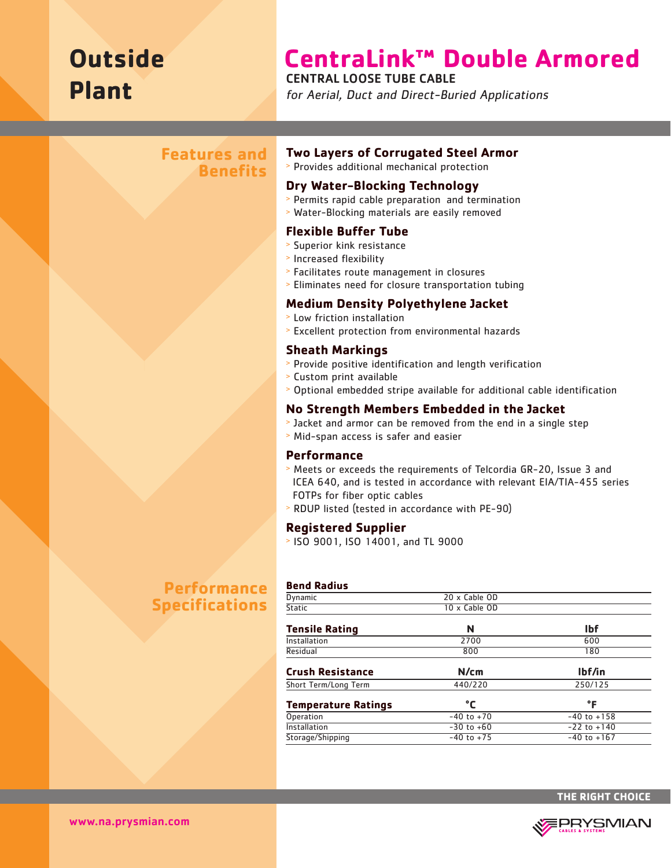# **Outside Plant**

# **CentraLink™ Double Armored**

CENTRAL LOOSE TUBE CABLE

for Aerial, Duct and Direct-Buried Applications

# **Features and Benefits**

# **Two Layers of Corrugated Steel Armor**

<sup>&</sup>gt; Provides additional mechanical protection

### **Dry Water-Blocking Technology**

- <sup>&</sup>gt; Permits rapid cable preparation and termination
- <sup>&</sup>gt; Water-Blocking materials are easily removed

#### **Flexible Buffer Tube**

- <sup>&</sup>gt; Superior kink resistance
- <sup>&</sup>gt; Increased flexibility
- <sup>&</sup>gt; Facilitates route management in closures
- <sup>&</sup>gt; Eliminates need for closure transportation tubing

#### **Medium Density Polyethylene Jacket**

- <sup>&</sup>gt; Low friction installation
- <sup>&</sup>gt; Excellent protection from environmental hazards

#### **Sheath Markings**

- <sup>&</sup>gt; Provide positive identification and length verification
- <sup>&</sup>gt; Custom print available
- <sup>&</sup>gt; Optional embedded stripe available for additional cable identification

#### **No Strength Members Embedded in the Jacket**

- <sup>&</sup>gt; Jacket and armor can be removed from the end in a single step
- <sup>&</sup>gt; Mid-span access is safer and easier

#### **Performance**

**Bend Radius** 

- <sup>&</sup>gt; Meets or exceeds the requirements of Telcordia GR-20, Issue 3 and ICEA 640, and is tested in accordance with relevant EIA/TIA-455 series FOTPs for fiber optic cables
- <sup>&</sup>gt; RDUP listed (tested in accordance with PE-90)

#### **Registered Supplier**

<sup>&</sup>gt; ISO 9001, ISO 14001, and TL 9000

# **Performance Specifications**

| <b>Dynamic</b>             | 20 x Cable OD  |                 |  |  |  |  |
|----------------------------|----------------|-----------------|--|--|--|--|
| <b>Static</b>              | 10 x Cable OD  |                 |  |  |  |  |
| <b>Tensile Rating</b>      | N              | lbf             |  |  |  |  |
| Installation               | 2700           | 600             |  |  |  |  |
| Residual                   | 800            | 180             |  |  |  |  |
| <b>Crush Resistance</b>    | N/cm           | lbf/in          |  |  |  |  |
| Short Term/Long Term       | 440/220        | 250/125         |  |  |  |  |
| <b>Temperature Ratings</b> | °C             | °F              |  |  |  |  |
| Operation                  | $-40$ to $+70$ | $-40$ to $+158$ |  |  |  |  |
| Installation               | $-30$ to $+60$ | $-22$ to $+140$ |  |  |  |  |
| Storage/Shipping           | $-40$ to $+75$ | $-40$ to $+167$ |  |  |  |  |
|                            |                |                 |  |  |  |  |



www.na.prysmian.com